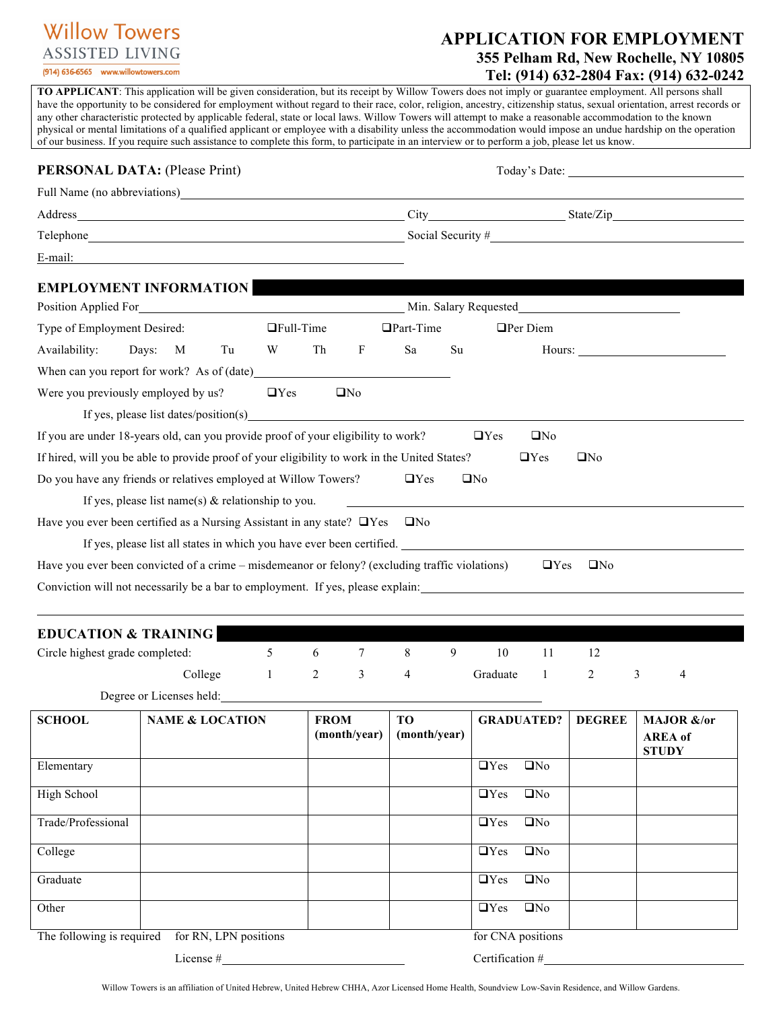# **Willow Towers ASSISTED LIVING**

(914) 636-6565 www.willowtowers.com

# **APPLICATION FOR EMPLOYMENT 355 Pelham Rd, New Rochelle, NY 10805 Tel: (914) 632-2804 Fax: (914) 632-0242**

**TO APPLICANT**: This application will be given consideration, but its receipt by Willow Towers does not imply or guarantee employment. All persons shall have the opportunity to be considered for employment without regard to their race, color, religion, ancestry, citizenship status, sexual orientation, arrest records or any other characteristic protected by applicable federal, state or local laws. Willow Towers will attempt to make a reasonable accommodation to the known physical or mental limitations of a qualified applicant or employee with a disability unless the accommodation would impose an undue hardship on the operation of our business. If you require such assistance to complete this form, to participate in an interview or to perform a job, please let us know.

| <b>PERSONAL DATA: (Please Print)</b> |                                                                                                                                                                                                                               |            |                  |                 |                                                                  |            |                   |               |                      |
|--------------------------------------|-------------------------------------------------------------------------------------------------------------------------------------------------------------------------------------------------------------------------------|------------|------------------|-----------------|------------------------------------------------------------------|------------|-------------------|---------------|----------------------|
|                                      |                                                                                                                                                                                                                               |            |                  |                 |                                                                  |            |                   |               |                      |
|                                      |                                                                                                                                                                                                                               |            |                  |                 |                                                                  |            |                   |               |                      |
|                                      |                                                                                                                                                                                                                               |            |                  |                 | Telephone <b>Example 2018</b> Social Security #                  |            |                   |               |                      |
| E-mail:                              | <u> 1989 - Johann Stein, mars an deutscher Stein († 1989)</u>                                                                                                                                                                 |            |                  |                 |                                                                  |            |                   |               |                      |
|                                      | <b>EMPLOYMENT INFORMATION</b>                                                                                                                                                                                                 |            |                  |                 |                                                                  |            |                   |               |                      |
|                                      |                                                                                                                                                                                                                               |            |                  |                 | Position Applied For Min. Salary Requested Min. Salary Requested |            |                   |               |                      |
| Type of Employment Desired:          |                                                                                                                                                                                                                               |            | $\Box$ Full-Time |                 | $\Box$ Part-Time                                                 |            | $\Box$ Per Diem   |               |                      |
| Availability:                        | Days: M<br>Tu                                                                                                                                                                                                                 | W          | Th               | F               | Sa                                                               | Su         |                   |               | Hours: New York 1988 |
|                                      |                                                                                                                                                                                                                               |            |                  |                 |                                                                  |            |                   |               |                      |
| Were you previously employed by us?  |                                                                                                                                                                                                                               | $\Box$ Yes |                  | UN <sub>0</sub> |                                                                  |            |                   |               |                      |
|                                      | If yes, please list dates/position(s) example 2.6 and 2.6 and 2.6 and 2.6 and 2.6 and 2.6 and 2.6 and 2.6 and 2.6 and 2.6 and 2.7 and 2.7 and 2.7 and 2.7 and 2.7 and 2.7 and 2.7 and 2.7 and 2.7 and 2.7 and 2.7 and 2.7 and |            |                  |                 |                                                                  |            |                   |               |                      |
|                                      | If you are under 18-years old, can you provide proof of your eligibility to work?                                                                                                                                             |            |                  |                 |                                                                  | $\Box$ Yes | $\Box$ No         |               |                      |
|                                      | If hired, will you be able to provide proof of your eligibility to work in the United States?                                                                                                                                 |            |                  |                 |                                                                  |            | $\Box$ Yes        | $\square$ No  |                      |
|                                      | Do you have any friends or relatives employed at Willow Towers?                                                                                                                                                               |            |                  |                 | $\Box$ Yes                                                       | $\Box$ No  |                   |               |                      |
|                                      | If yes, please list name(s) $\&$ relationship to you.                                                                                                                                                                         |            |                  |                 |                                                                  |            |                   |               |                      |
|                                      | Have you ever been certified as a Nursing Assistant in any state? $\Box$ Yes                                                                                                                                                  |            |                  |                 | $\Box$ No                                                        |            |                   |               |                      |
|                                      | If yes, please list all states in which you have ever been certified.                                                                                                                                                         |            |                  |                 |                                                                  |            |                   |               |                      |
|                                      | Have you ever been convicted of a crime – misdemeanor or felony? (excluding traffic violations)                                                                                                                               |            |                  |                 |                                                                  |            | $\Box$ Yes        | $\Box$ No     |                      |
|                                      | Conviction will not necessarily be a bar to employment. If yes, please explain:                                                                                                                                               |            |                  |                 |                                                                  |            |                   |               |                      |
|                                      |                                                                                                                                                                                                                               |            |                  |                 |                                                                  |            |                   |               |                      |
| <b>EDUCATION &amp; TRAINING</b>      |                                                                                                                                                                                                                               |            |                  |                 |                                                                  |            |                   |               |                      |
| Circle highest grade completed:      |                                                                                                                                                                                                                               | 5          | 6                | $\tau$          | 8<br>9                                                           | 10         | 11                | 12            |                      |
|                                      | College                                                                                                                                                                                                                       | -1         | 2                | 3               | 4                                                                | Graduate   | 1                 | 2             | 3<br>4               |
|                                      | Degree or Licenses held:                                                                                                                                                                                                      |            |                  |                 |                                                                  |            |                   |               |                      |
| <b>SCHOOL</b>                        | <b>NAME &amp; LOCATION</b>                                                                                                                                                                                                    |            | <b>FROM</b>      |                 | <b>TO</b>                                                        |            | <b>GRADUATED?</b> | <b>DEGREE</b> | MAJOR &/or           |
|                                      |                                                                                                                                                                                                                               |            |                  | (month/year)    | (month/year)                                                     |            |                   |               | <b>AREA</b> of       |
| Elementary                           |                                                                                                                                                                                                                               |            |                  |                 |                                                                  | $\Box$ Yes | $\square$ No      |               | <b>STUDY</b>         |
|                                      |                                                                                                                                                                                                                               |            |                  |                 |                                                                  |            |                   |               |                      |
| High School                          |                                                                                                                                                                                                                               |            |                  |                 |                                                                  | $\Box$ Yes | $\square$ No      |               |                      |
| Trade/Professional                   |                                                                                                                                                                                                                               |            |                  |                 |                                                                  | $\Box$ Yes | $\square$ No      |               |                      |
| College                              |                                                                                                                                                                                                                               |            |                  |                 |                                                                  | $\Box$ Yes | $\square$ No      |               |                      |
|                                      |                                                                                                                                                                                                                               |            |                  |                 |                                                                  |            |                   |               |                      |
| Graduate                             |                                                                                                                                                                                                                               |            |                  |                 |                                                                  | $\Box$ Yes | $\square$ No      |               |                      |
| Other                                |                                                                                                                                                                                                                               |            |                  |                 |                                                                  | $\Box$ Yes | $\square$ No      |               |                      |

The following is required for RN, LPN positions for CNA positions for CNA positions

License # Certification #